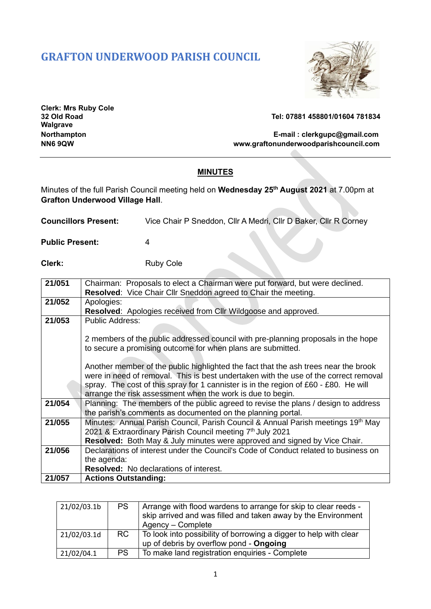# **GRAFTON UNDERWOOD PARISH COUNCIL**



**Clerk: Mrs Ruby Cole Walgrave**

**32 Old Road Tel: 07881 458801/01604 781834**

**Northampton E-mail : [clerkgupc@gmail.com](mailto:clerkgupc@gmail.com) NN6 9QW www.graftonunderwoodparishcouncil.com**

## **MINUTES**

Minutes of the full Parish Council meeting held on **Wednesday 25th August 2021** at 7.00pm at **Grafton Underwood Village Hall**.

| <b>Councillors Present:</b> | Vice Chair P Sneddon, Cllr A Medri, Cllr D Baker, Cllr R Corney |  |
|-----------------------------|-----------------------------------------------------------------|--|
|-----------------------------|-----------------------------------------------------------------|--|

**Public Present:** 4

**Clerk:** Ruby Cole

| 21/051 | Chairman: Proposals to elect a Chairman were put forward, but were declined.                 |  |
|--------|----------------------------------------------------------------------------------------------|--|
|        | Resolved: Vice Chair Cllr Sneddon agreed to Chair the meeting.                               |  |
| 21/052 | Apologies:                                                                                   |  |
|        | <b>Resolved:</b> Apologies received from Cllr Wildgoose and approved.                        |  |
| 21/053 | <b>Public Address:</b>                                                                       |  |
|        |                                                                                              |  |
|        | 2 members of the public addressed council with pre-planning proposals in the hope            |  |
|        | to secure a promising outcome for when plans are submitted.                                  |  |
|        |                                                                                              |  |
|        | Another member of the public highlighted the fact that the ash trees near the brook          |  |
|        | were in need of removal. This is best undertaken with the use of the correct removal         |  |
|        | spray. The cost of this spray for 1 cannister is in the region of $£60 - £80$ . He will      |  |
|        | arrange the risk assessment when the work is due to begin.                                   |  |
| 21/054 | Planning: The members of the public agreed to revise the plans / design to address           |  |
|        | the parish's comments as documented on the planning portal.                                  |  |
| 21/055 | Minutes: Annual Parish Council, Parish Council & Annual Parish meetings 19 <sup>th</sup> May |  |
|        | 2021 & Extraordinary Parish Council meeting 7th July 2021                                    |  |
|        | Resolved: Both May & July minutes were approved and signed by Vice Chair.                    |  |
| 21/056 | Declarations of interest under the Council's Code of Conduct related to business on          |  |
|        | the agenda:                                                                                  |  |
|        | <b>Resolved:</b> No declarations of interest.                                                |  |
| 21/057 | <b>Actions Outstanding:</b>                                                                  |  |

| 21/02/03.1b | PS.       | Arrange with flood wardens to arrange for skip to clear reeds -<br>skip arrived and was filled and taken away by the Environment<br>Agency – Complete |
|-------------|-----------|-------------------------------------------------------------------------------------------------------------------------------------------------------|
| 21/02/03.1d | <b>RC</b> | To look into possibility of borrowing a digger to help with clear<br>up of debris by overflow pond - Ongoing                                          |
| 21/02/04.1  | <b>PS</b> | To make land registration enquiries - Complete                                                                                                        |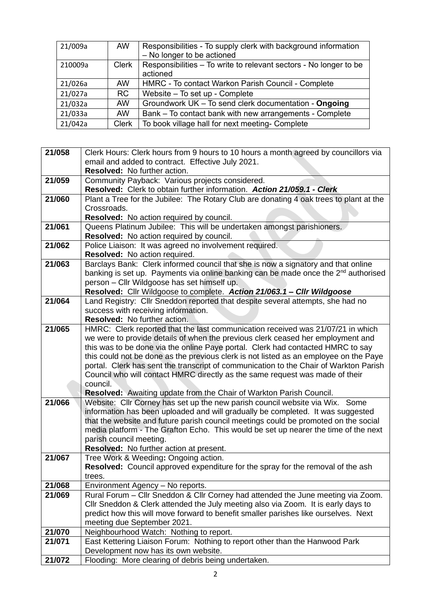| 21/009a | AW.          | Responsibilities - To supply clerk with background information<br>- No longer to be actioned |
|---------|--------------|----------------------------------------------------------------------------------------------|
|         |              |                                                                                              |
| 210009a | <b>Clerk</b> | Responsibilities – To write to relevant sectors - No longer to be                            |
|         |              | actioned                                                                                     |
| 21/026a | AW.          | HMRC - To contact Warkon Parish Council - Complete                                           |
| 21/027a | RC           | Website - To set up - Complete                                                               |
| 21/032a | AW.          | Groundwork UK - To send clerk documentation - Ongoing                                        |
| 21/033a | AW.          | Bank – To contact bank with new arrangements - Complete                                      |
| 21/042a | <b>Clerk</b> | To book village hall for next meeting- Complete                                              |

| 21/058 | Clerk Hours: Clerk hours from 9 hours to 10 hours a month agreed by councillors via                                                                      |
|--------|----------------------------------------------------------------------------------------------------------------------------------------------------------|
|        | email and added to contract. Effective July 2021.                                                                                                        |
|        | Resolved: No further action.                                                                                                                             |
| 21/059 | Community Payback: Various projects considered.                                                                                                          |
|        | Resolved: Clerk to obtain further information. Action 21/059.1 - Clerk                                                                                   |
| 21/060 | Plant a Tree for the Jubilee: The Rotary Club are donating 4 oak trees to plant at the                                                                   |
|        | Crossroads.                                                                                                                                              |
|        | Resolved: No action required by council.                                                                                                                 |
| 21/061 | Queens Platinum Jubilee: This will be undertaken amongst parishioners.                                                                                   |
|        | Resolved: No action required by council.                                                                                                                 |
| 21/062 | Police Liaison: It was agreed no involvement required.                                                                                                   |
|        | Resolved: No action required.                                                                                                                            |
| 21/063 | Barclays Bank: Clerk informed council that she is now a signatory and that online                                                                        |
|        | banking is set up. Payments via online banking can be made once the 2 <sup>nd</sup> authorised                                                           |
|        | person - Cllr Wildgoose has set himself up.                                                                                                              |
| 21/064 | Resolved: Cllr Wildgoose to complete. Action 21/063.1 - Cllr Wildgoose<br>Land Registry: Cllr Sneddon reported that despite several attempts, she had no |
|        | success with receiving information.                                                                                                                      |
|        | Resolved: No further action.                                                                                                                             |
| 21/065 | HMRC: Clerk reported that the last communication received was 21/07/21 in which                                                                          |
|        | we were to provide details of when the previous clerk ceased her employment and                                                                          |
|        | this was to be done via the online Paye portal. Clerk had contacted HMRC to say                                                                          |
|        | this could not be done as the previous clerk is not listed as an employee on the Paye                                                                    |
|        | portal. Clerk has sent the transcript of communication to the Chair of Warkton Parish                                                                    |
|        | Council who will contact HMRC directly as the same request was made of their                                                                             |
|        | council.                                                                                                                                                 |
|        | Resolved: Awaiting update from the Chair of Warkton Parish Council.                                                                                      |
| 21/066 | Website: Cllr Corney has set up the new parish council website via Wix. Some                                                                             |
|        | information has been uploaded and will gradually be completed. It was suggested                                                                          |
|        | that the website and future parish council meetings could be promoted on the social                                                                      |
|        | media platform - The Grafton Echo. This would be set up nearer the time of the next                                                                      |
|        | parish council meeting.                                                                                                                                  |
|        | Resolved: No further action at present.                                                                                                                  |
| 21/067 | Tree Work & Weeding: Ongoing action.                                                                                                                     |
|        | Resolved: Council approved expenditure for the spray for the removal of the ash                                                                          |
|        | trees.                                                                                                                                                   |
| 21/068 | Environment Agency - No reports.                                                                                                                         |
| 21/069 | Rural Forum - Cllr Sneddon & Cllr Corney had attended the June meeting via Zoom.                                                                         |
|        | Cllr Sneddon & Clerk attended the July meeting also via Zoom. It is early days to                                                                        |
|        | predict how this will move forward to benefit smaller parishes like ourselves. Next<br>meeting due September 2021.                                       |
| 21/070 | Neighbourhood Watch: Nothing to report.                                                                                                                  |
| 21/071 | East Kettering Liaison Forum: Nothing to report other than the Hanwood Park                                                                              |
|        | Development now has its own website.                                                                                                                     |
| 21/072 | Flooding: More clearing of debris being undertaken.                                                                                                      |
|        |                                                                                                                                                          |